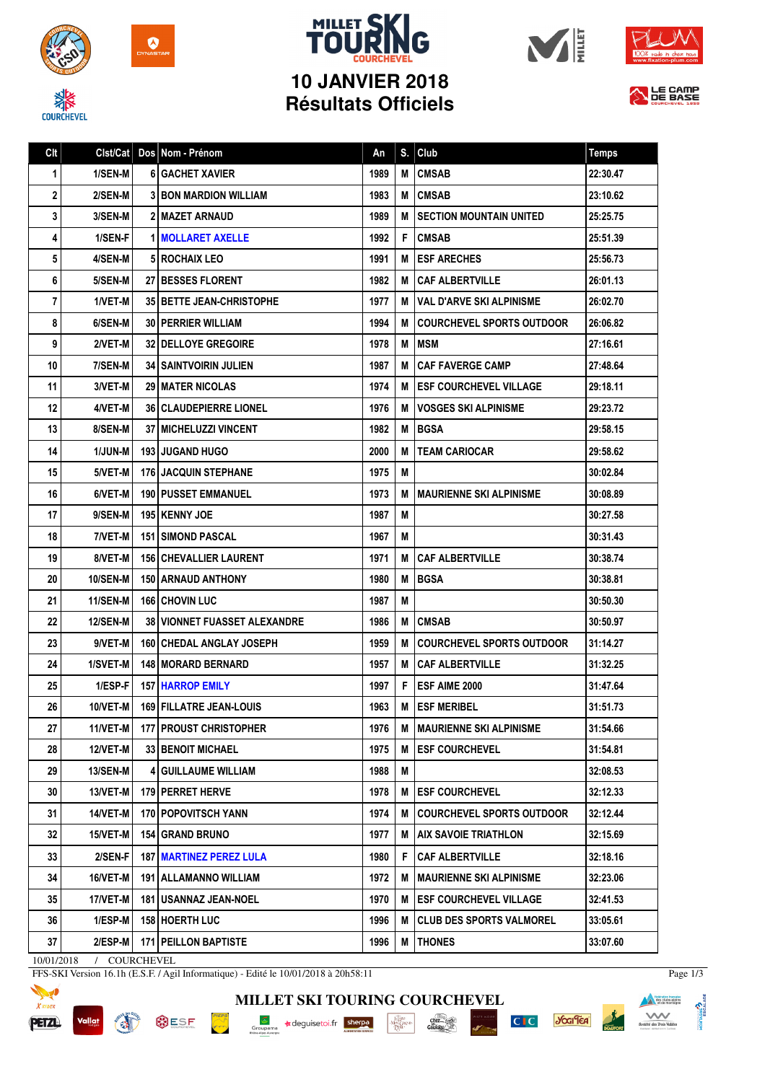



## **MILLET SK 10 JANVIER 2018 Résultats Officiels**







| Clt | Clst/Cat        | Dos Nom - Prénom                      | An   | S. | Club                             | <b>Temps</b> |
|-----|-----------------|---------------------------------------|------|----|----------------------------------|--------------|
| 1   | 1/SEN-M         | <b>6 GACHET XAVIER</b>                | 1989 | M  | <b>CMSAB</b>                     | 22:30.47     |
| 2   | 2/SEN-M         | <b>31 BON MARDION WILLIAM</b>         | 1983 | M  | <b>CMSAB</b>                     | 23:10.62     |
| 3   | 3/SEN-M         | <b>2 MAZET ARNAUD</b>                 | 1989 | M  | <b>SECTION MOUNTAIN UNITED</b>   | 25:25.75     |
| 4   | 1/SEN-F         | <b>1 MOLLARET AXELLE</b>              | 1992 | F  | <b>CMSAB</b>                     | 25:51.39     |
| 5   | 4/SEN-M         | <b>5 ROCHAIX LEO</b>                  | 1991 | M  | <b>ESF ARECHES</b>               | 25:56.73     |
| 6   | 5/SEN-M         | <b>27 BESSES FLORENT</b>              | 1982 | М  | <b>CAF ALBERTVILLE</b>           | 26:01.13     |
| 7   | 1/VET-M         | <b>35 BETTE JEAN-CHRISTOPHE</b>       | 1977 | M  | l VAL D'ARVE SKI ALPINISME       | 26:02.70     |
| 8   | 6/SEN-M         | <b>30   PERRIER WILLIAM</b>           | 1994 | М  | <b>COURCHEVEL SPORTS OUTDOOR</b> | 26:06.82     |
| 9   | 2/VET-M         | <b>32 I DELLOYE GREGOIRE</b>          | 1978 | M  | <b>IMSM</b>                      | 27:16.61     |
| 10  | 7/SEN-M         | <b>34 I SAINTVOIRIN JULIEN</b>        | 1987 | M  | <b>CAF FAVERGE CAMP</b>          | 27:48.64     |
| 11  | 3/VET-M         | <b>29 MATER NICOLAS</b>               | 1974 | M  | <b>ESF COURCHEVEL VILLAGE</b>    | 29:18.11     |
| 12  | 4/VET-M         | <b>36   CLAUDEPIERRE LIONEL</b>       | 1976 | M  | VOSGES SKI ALPINISME             | 29:23.72     |
| 13  | 8/SEN-M         | 37   MICHELUZZI VINCENT               | 1982 | M  | <b>BGSA</b>                      | 29:58.15     |
| 14  | <b>1/JUN-M</b>  | <b>193 JUGAND HUGO</b>                | 2000 | M  | <b>TEAM CARIOCAR</b>             | 29:58.62     |
| 15  | 5/VET-M         | <b>176 JACQUIN STEPHANE</b>           | 1975 | M  |                                  | 30:02.84     |
| 16  | 6/VET-M         | <b>190 I PUSSET EMMANUEL</b>          | 1973 | M  | <b>MAURIENNE SKI ALPINISME</b>   | 30:08.89     |
| 17  | 9/SEN-M         | 195   KENNY JOE                       | 1987 | M  |                                  | 30:27.58     |
| 18  | 7/VET-M         | 151 SIMOND PASCAL                     | 1967 | Μ  |                                  | 30:31.43     |
| 19  | 8/VET-M         | <b>156 CHEVALLIER LAURENT</b>         | 1971 | М  | <b>CAF ALBERTVILLE</b>           | 30:38.74     |
| 20  | <b>10/SEN-M</b> | <b>150 LARNAUD ANTHONY</b>            | 1980 | M  | <b>BGSA</b>                      | 30:38.81     |
| 21  | 11/SEN-M        | 166 CHOVIN LUC                        | 1987 | M  |                                  | 30:50.30     |
| 22  | <b>12/SEN-M</b> | <b>38   VIONNET FUASSET ALEXANDRE</b> | 1986 | M  | <b>CMSAB</b>                     | 30:50.97     |
| 23  | 9/VET-M         | <b>160 CHEDAL ANGLAY JOSEPH</b>       | 1959 | М  | <b>COURCHEVEL SPORTS OUTDOOR</b> | 31:14.27     |
| 24  | 1/SVET-M        | <b>148   MORARD BERNARD</b>           | 1957 | M  | <b>CAF ALBERTVILLE</b>           | 31:32.25     |
| 25  | 1/ESP-F         | <b>157 HARROP EMILY</b>               | 1997 | F  | <b>ESF AIME 2000</b>             | 31:47.64     |
| 26  | 10/VET-M        | 169 FILLATRE JEAN-LOUIS               | 1963 | M  | <b>ESF MERIBEL</b>               | 31:51.73     |
| 27  | $11/NET-M$      | 177   PROUST CHRISTOPHER              | 1976 | M  | MAURIENNE SKI ALPINISME          | 31:54.66     |
| 28  | 12/VET-M        | <b>33 BENOIT MICHAEL</b>              | 1975 | M  | <b>ESF COURCHEVEL</b>            | 31:54.81     |
| 29  | <b>13/SEN-M</b> | <b>4 GUILLAUME WILLIAM</b>            | 1988 | Μ  |                                  | 32:08.53     |
| 30  | 13/VET-M        | 179 PERRET HERVE                      | 1978 | M  | <b>ESF COURCHEVEL</b>            | 32:12.33     |
| 31  | 14/VET-M        | <b>170 POPOVITSCH YANN</b>            | 1974 | M  | <b>COURCHEVEL SPORTS OUTDOOR</b> | 32:12.44     |
| 32  | 15/VET-M        | <b>154 GRAND BRUNO</b>                | 1977 | M  | AIX SAVOIE TRIATHLON             | 32:15.69     |
| 33  | 2/SEN-F         | <b>187 MARTINEZ PEREZ LULA</b>        | 1980 | F  | <b>CAF ALBERTVILLE</b>           | 32:18.16     |
| 34  | 16/VET-M        | 191   ALLAMANNO WILLIAM               | 1972 | Μ  | <b>MAURIENNE SKI ALPINISME</b>   | 32:23.06     |
| 35  | 17/VET-M        | 181 USANNAZ JEAN-NOEL                 | 1970 | M  | <b>ESF COURCHEVEL VILLAGE</b>    | 32:41.53     |
| 36  | $1/ESP-M$       | 158 HOERTH LUC                        | 1996 | M  | <b>CLUB DES SPORTS VALMOREL</b>  | 33:05.61     |
| 37  | 2/ESP-M         | 171 PEILLON BAPTISTE                  | 1996 | M  | <b>THONES</b>                    | 33:07.60     |

10/01/2018 / COURCHEVEL

FFS-SKI Version 16.1h (E.S.F. / Agil Informatique) - Edité le 10/01/2018 à 20h58:11



Vallat **BUSF PORT AND IN** 



 $\frac{\text{chez}}{\text{Cauchy}}$ 

C<sub>IC</sub> you'lea



Page 1/3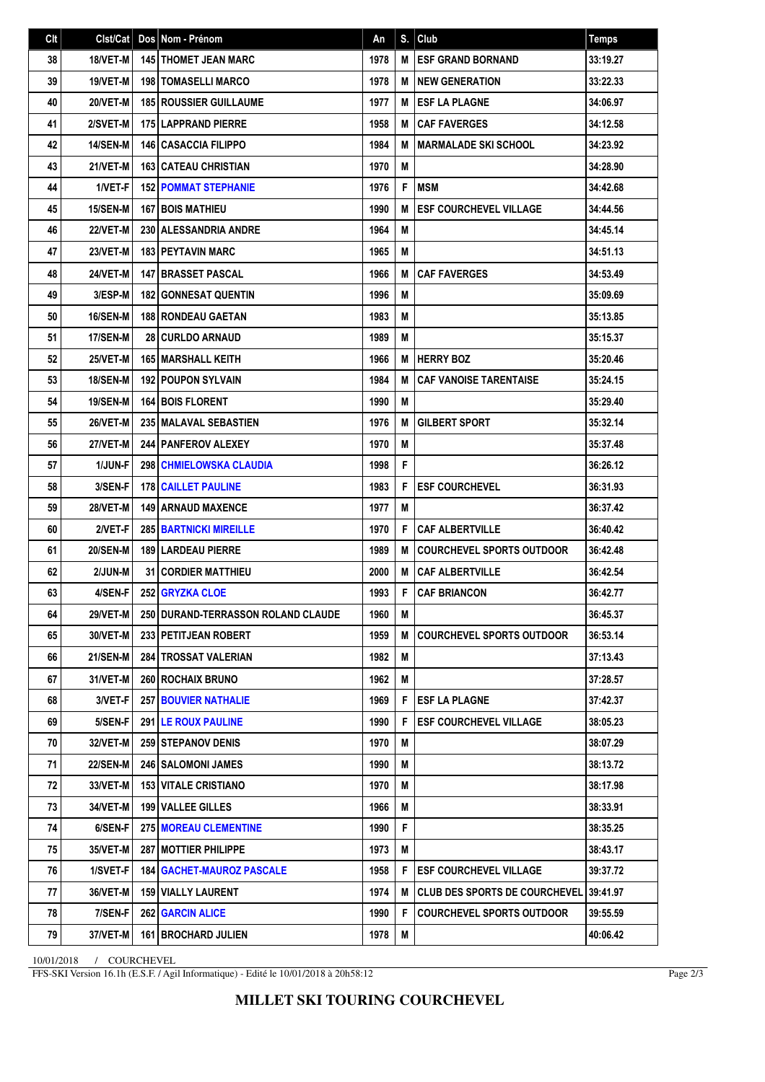| Clt | Clst/Cat        | Dos Nom - Prénom                   | An   | S. | Club                             | <b>Temps</b> |
|-----|-----------------|------------------------------------|------|----|----------------------------------|--------------|
| 38  | 18/VET-M        | <b>145   THOMET JEAN MARC</b>      | 1978 | M  | <b>ESF GRAND BORNAND</b>         | 33:19.27     |
| 39  | 19/VET-M        | <b>198   TOMASELLI MARCO</b>       | 1978 | M  | <b>INEW GENERATION</b>           | 33:22.33     |
| 40  | 20/VET-M        | <b>185 ROUSSIER GUILLAUME</b>      | 1977 | M  | <b>ESF LA PLAGNE</b>             | 34:06.97     |
| 41  | 2/SVET-M        | <b>175 LAPPRAND PIERRE</b>         | 1958 | M  | <b>CAF FAVERGES</b>              | 34:12.58     |
| 42  | 14/SEN-M        | <b>146 CASACCIA FILIPPO</b>        | 1984 | M  | <b>MARMALADE SKI SCHOOL</b>      | 34:23.92     |
| 43  | 21/VET-M        | <b>163 CATEAU CHRISTIAN</b>        | 1970 | M  |                                  | 34:28.90     |
| 44  | 1/VET-F         | <b>152 POMMAT STEPHANIE</b>        | 1976 | F  | <b>IMSM</b>                      | 34:42.68     |
| 45  | 15/SEN-M        | <b>167 BOIS MATHIEU</b>            | 1990 | М  | <b>ESF COURCHEVEL VILLAGE</b>    | 34:44.56     |
| 46  | 22/VET-M        | 230 ALESSANDRIA ANDRE              | 1964 | M  |                                  | 34:45.14     |
| 47  | 23/VET-M        | <b>183 PEYTAVIN MARC</b>           | 1965 | M  |                                  | 34:51.13     |
| 48  | 24/VET-M        | <b>147 I BRASSET PASCAL</b>        | 1966 | М  | <b>CAF FAVERGES</b>              | 34:53.49     |
| 49  | 3/ESP-M         | <b>182 GONNESAT QUENTIN</b>        | 1996 | M  |                                  | 35:09.69     |
| 50  | <b>16/SEN-M</b> | <b>188 RONDEAU GAETAN</b>          | 1983 | M  |                                  | 35:13.85     |
| 51  | 17/SEN-M        | 28 CURLDO ARNAUD                   | 1989 | M  |                                  | 35:15.37     |
| 52  | 25/VET-M        | <b>165 MARSHALL KEITH</b>          | 1966 | M  | <b>HERRY BOZ</b>                 | 35:20.46     |
| 53  | <b>18/SEN-M</b> | <b>192 POUPON SYLVAIN</b>          | 1984 | M  | <b>CAF VANOISE TARENTAISE</b>    | 35:24.15     |
| 54  | <b>19/SEN-M</b> | <b>164 BOIS FLORENT</b>            | 1990 | М  |                                  | 35:29.40     |
| 55  | 26/VET-M        | 235 MALAVAL SEBASTIEN              | 1976 | M  | <b>GILBERT SPORT</b>             | 35:32.14     |
| 56  | <b>27/VET-M</b> | <b>244   PANFEROV ALEXEY</b>       | 1970 | M  |                                  | 35:37.48     |
| 57  | 1/JUN-F         | <b>298 CHMIELOWSKA CLAUDIA</b>     | 1998 | F  |                                  | 36:26.12     |
| 58  | 3/SEN-F         | <b>178 CAILLET PAULINE</b>         | 1983 | F  | <b>ESF COURCHEVEL</b>            | 36:31.93     |
| 59  | 28/VET-M        | <b>149   ARNAUD MAXENCE</b>        | 1977 | M  |                                  | 36:37.42     |
| 60  | 2/VET-F         | <b>285 BARTNICKI MIREILLE</b>      | 1970 | F  | <b>CAF ALBERTVILLE</b>           | 36:40.42     |
| 61  | <b>20/SEN-M</b> | <b>189   LARDEAU PIERRE</b>        | 1989 | М  | <b>COURCHEVEL SPORTS OUTDOOR</b> | 36:42.48     |
| 62  | 2/JUN-M         | <b>31 CORDIER MATTHIEU</b>         | 2000 | M  | <b>CAF ALBERTVILLE</b>           | 36:42.54     |
| 63  | 4/SEN-F         | 252 GRYZKA CLOE                    | 1993 | F  | <b>CAF BRIANCON</b>              | 36:42.77     |
| 64  | 29/VET-M        | 250 DURAND-TERRASSON ROLAND CLAUDE | 1960 | M  |                                  | 36:45.37     |
| 65  | 30/VET-M        | 233 PETITJEAN ROBERT               | 1959 | М  | COURCHEVEL SPORTS OUTDOOR        | 36:53.14     |
| 66  | 21/SEN-M        | 284 TROSSAT VALERIAN               | 1982 | M  |                                  | 37:13.43     |
| 67  | 31/VET-M        | 260 ROCHAIX BRUNO                  | 1962 | M  |                                  | 37:28.57     |
| 68  | 3/VET-F         | <b>257 BOUVIER NATHALIE</b>        | 1969 | F  | <b>ESF LA PLAGNE</b>             | 37:42.37     |
| 69  | 5/SEN-F         | 291 LE ROUX PAULINE                | 1990 | F  | <b>ESF COURCHEVEL VILLAGE</b>    | 38:05.23     |
| 70  | <b>32/VET-M</b> | <b>259 STEPANOV DENIS</b>          | 1970 | M  |                                  | 38:07.29     |
| 71  | <b>22/SEN-M</b> | 246 SALOMONI JAMES                 | 1990 | M  |                                  | 38:13.72     |
| 72  | 33/VET-M        | <b>153 VITALE CRISTIANO</b>        | 1970 | M  |                                  | 38:17.98     |
| 73  | 34/VET-M        | 199 VALLEE GILLES                  | 1966 | M  |                                  | 38:33.91     |
| 74  | 6/SEN-F         | 275 MOREAU CLEMENTINE              | 1990 | F  |                                  | 38:35.25     |
| 75  | 35/VET-M        | 287 MOTTIER PHILIPPE               | 1973 | M  |                                  | 38:43.17     |
| 76  | 1/SVET-F        | <b>184   GACHET-MAUROZ PASCALE</b> | 1958 | F  | <b>ESF COURCHEVEL VILLAGE</b>    | 39:37.72     |
| 77  | 36/VET-M        | <b>159   VIALLY LAURENT</b>        | 1974 | M  | l CLUB DES SPORTS DE COURCHEVEL  | 39:41.97     |
| 78  | 7/SEN-F         | <b>262 GARCIN ALICE</b>            | 1990 | F  | <b>COURCHEVEL SPORTS OUTDOOR</b> | 39:55.59     |
| 79  | 37/VET-M        | <b>161 BROCHARD JULIEN</b>         | 1978 | M  |                                  | 40:06.42     |

10/01/2018 / COURCHEVEL

FFS-SKI Version 16.1h (E.S.F. / Agil Informatique) - Edité le 10/01/2018 à 20h58:12

Page 2/3